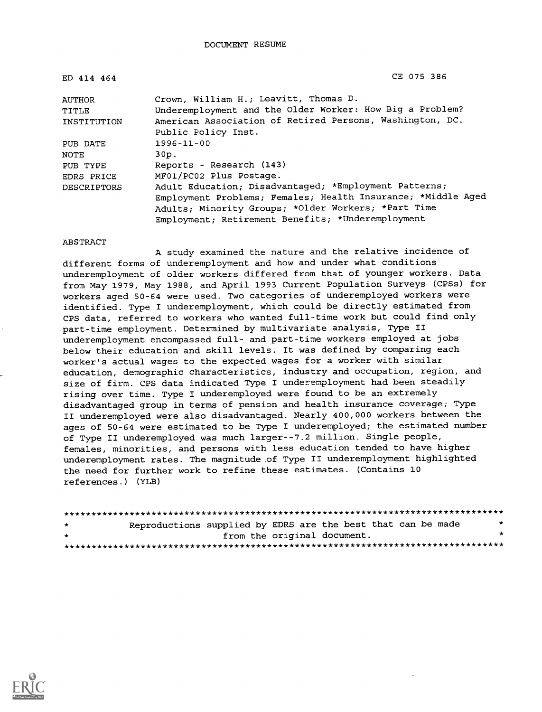ED 414 464 CE 075 386

| <b>AUTHOR</b>      | Crown, William H.; Leavitt, Thomas D.                        |
|--------------------|--------------------------------------------------------------|
| TITLE              | Underemployment and the Older Worker: How Big a Problem?     |
| INSTITUTION        | American Association of Retired Persons, Washington, DC.     |
|                    | Public Policy Inst.                                          |
| PUB DATE           | $1996 - 11 - 00$                                             |
| NOTE               | 30p.                                                         |
| PUB TYPE           | Reports - Research (143)                                     |
| EDRS PRICE         | MF01/PC02 Plus Postage.                                      |
| <b>DESCRIPTORS</b> | Adult Education; Disadvantaged; *Employment Patterns;        |
|                    | Employment Problems; Females; Health Insurance; *Middle Aged |
|                    | Adults; Minority Groups; *Older Workers; *Part Time          |
|                    | Employment; Retirement Benefits; *Underemployment            |

#### ABSTRACT

A study examined the nature and the relative incidence of different forms of underemployment and how and under what conditions underemployment of older workers differed from that of younger workers. Data from May 1979, May 1988, and April 1993 Current Population Surveys (CPSs) for workers aged 50-64 were used. Two categories of underemployed workers were identified. Type I underemployment, which could be directly estimated from CPS data, referred to workers who wanted full-time work but could find only part-time employment. Determined by multivariate analysis, Type II underemployment encompassed full- and part-time workers employed at jobs below their education and skill levels. It was defined by comparing each worker's actual wages to the expected wages for a worker with similar education, demographic characteristics, industry and occupation, region, and size of firm. CPS data indicated Type I underemployment had been steadily rising over time. Type I underemployed were found to be an extremely disadvantaged group in terms of pension and health insurance coverage; Type II underemployed were also disadvantaged. Nearly 400,000 workers between the ages of 50-64 were estimated to be Type I underemployed; the estimated number of Type II underemployed was much larger--7.2 million. Single people, females, minorities, and persons with less education tended to have higher underemployment rates. The magnitude of Type II underemployment highlighted the need for further work to refine these estimates. (Contains 10 references.) (YLB)

| $\star$ | Reproductions supplied by EDRS are the best that can be made |                             |  |  | $\star$ |
|---------|--------------------------------------------------------------|-----------------------------|--|--|---------|
| $\star$ |                                                              | from the original document. |  |  | *       |
|         |                                                              |                             |  |  |         |

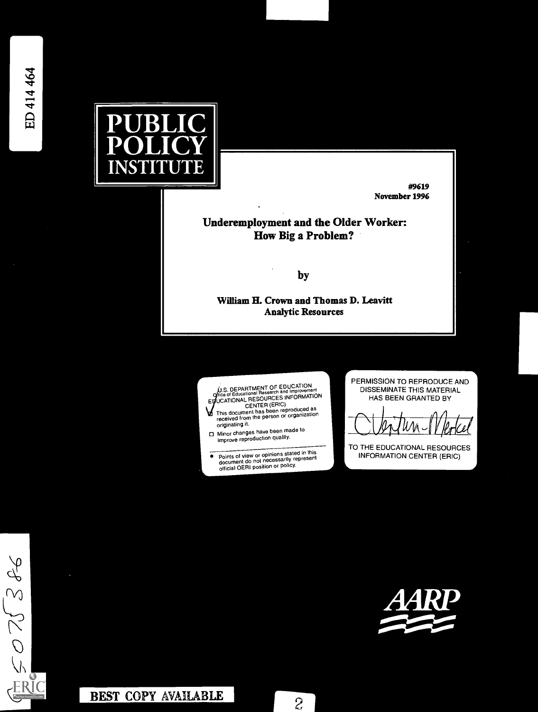982520



#9619 November 1996

# Underemployment and the Older Worker: How Big a Problem?

by

William H. Crown and Thomas D. Leavitt Analytic Resources



**.** 

Points of view or opinions stated in this document do not necessarily represent official OERI position or policy

PERMISSION TO REPRODUCE AND DISSEMINATE THIS MATERIAL HAS BEEN GRANTED BY

TO THE EDUCATIONAL RESOURCES INFORMATION CENTER (ERIC)

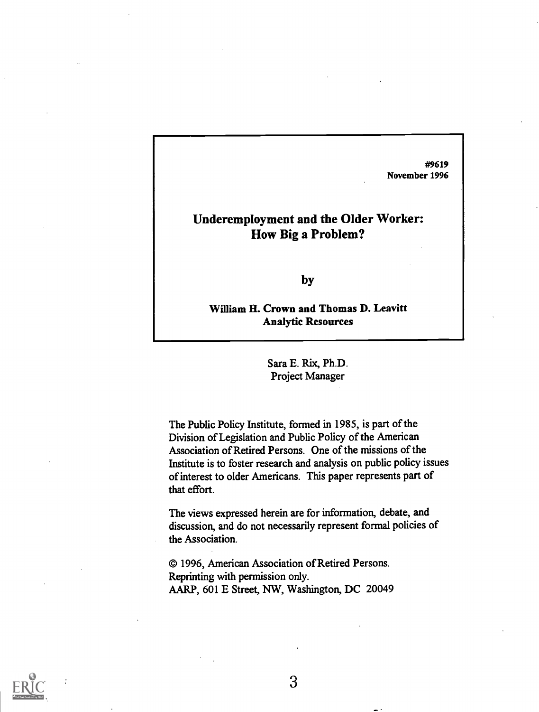#9619 November 1996

# Underemployment and the Older Worker: How Big a Problem?

by

William H. Crown and Thomas D. Leavitt Analytic Resources

> Sara E. Rix, Ph.D. Project Manager

The Public Policy Institute, formed in 1985, is part of the Division of Legislation and Public Policy of the American Association of Retired Persons. One of the missions of the Institute is to foster research and analysis on public policy issues of interest to older Americans. This paper represents part of that effort.

The views expressed herein are for information, debate, and discussion, and do not necessarily represent formal policies of the Association.

© 1996, American Association of Retired Persons. Reprinting with permission only. AARP, 601 E Street, NW, Washington, DC 20049

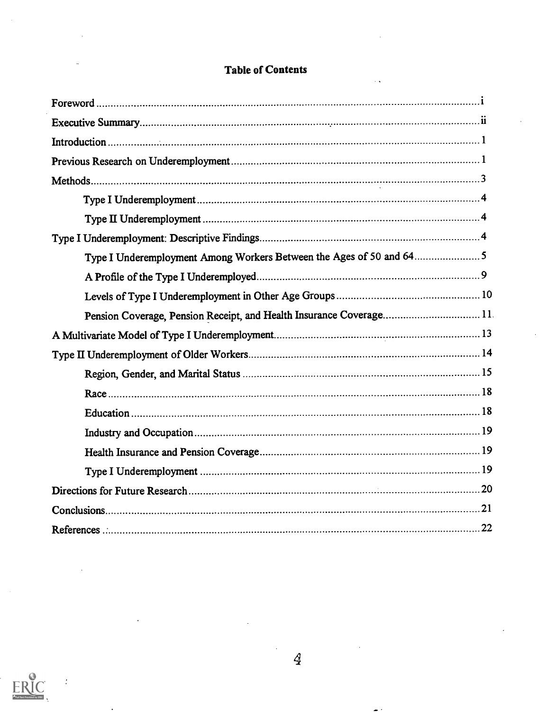| Type I Underemployment Among Workers Between the Ages of 50 and 645  |  |
|----------------------------------------------------------------------|--|
|                                                                      |  |
|                                                                      |  |
| Pension Coverage, Pension Receipt, and Health Insurance Coverage 11. |  |
|                                                                      |  |
|                                                                      |  |
|                                                                      |  |
|                                                                      |  |
|                                                                      |  |
|                                                                      |  |
|                                                                      |  |
|                                                                      |  |
|                                                                      |  |
|                                                                      |  |
|                                                                      |  |

# Table of Contents



 $\ddot{\cdot}$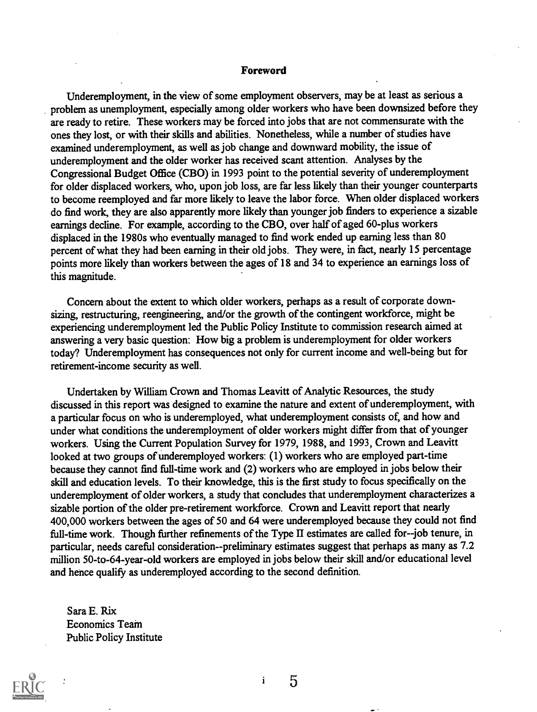#### Foreword

Underemployment, in the view of some employment observers, may be at least as serious a problem as unemployment, especially among older workers who have been downsized before they are ready to retire. These workers may be forced into jobs that are not commensurate with the ones they lost, or with their skills and abilities. Nonetheless, while anumber of studies have examined underemployment, as well as job change and downward mobility, the issue of underemployment and the older worker has received scant attention. Analyses by the Congressional Budget Office (CBO) in 1993 point to the potential severity of underemployment for older displaced workers, who, upon job loss, are far less likely than their younger counterparts to become reemployed and far more likely to leave the labor force. When older displaced workers do find work, they are also apparently more likely than younger job finders to experience a sizable earnings decline. For example, according to the CBO, over half of aged 60-plus workers displaced in the 1980s who eventually managed to find work ended up earning less than 80 percent of what they had been earning in their old jobs. They were, in fact, nearly 15 percentage points more likely than workers between the ages of 18 and 34 to experience an earnings loss of this magnitude.

Concern about the extent to which older workers, perhaps as a result of corporate downsizing, restructuring, reengineering, and/or the growth of the contingent workforce, might be experiencing underemployment led the Public Policy Institute to commission research aimed at answering a very basic question: How big a problem is underemployment for older workers today? Underemployment has consequences not only for current income and well-being but for retirement-income security as well.

Undertaken by William Crown and Thomas Leavitt of Analytic Resources, the study discussed in this report was designed to examine the nature and extent of underemployment, with a particular focus on who is underemployed, what underemployment consists of, and how and under what conditions the underemployment of older workers might differ from that of younger workers. Using the Current Population Survey for 1979, 1988, and 1993, Crown and Leavitt looked at two groups of underemployed workers: (1) workers who are employed part-time because they cannot find full-time work and (2) workers who are employed in jobs below their skill and education levels. To their knowledge, this is the first study to focus specifically on the underemployment of older workers, a study that concludes that underemployment characterizes a sizable portion of the older pre-retirement workforce. Crown and Leavitt report that nearly 400,000 workers between the ages of 50 and 64 were underemployed because they could not find full-time work. Though further refinements of the Type II estimates are called for--job tenure, in particular, needs careful consideration--preliminary estimates suggest that perhaps as many as 7.2 million 50-to-64-year-old workers are employed in jobs below their skill and/or educational level and hence qualify as underemployed according to the second definition.

Sara E. Rix Economics Team Public Policy Institute



 $\mathbf{i}$ 

 $\overline{5}$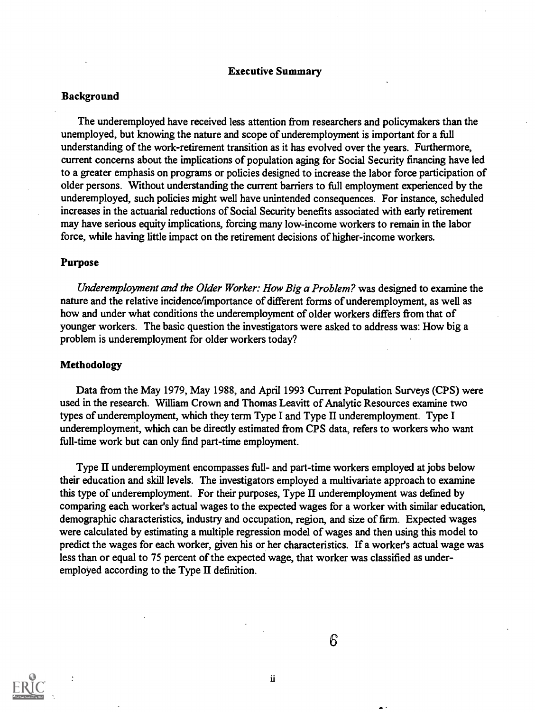#### Executive Summary

#### Background

The underemployed have received less attention from researchers and policymakers than the unemployed, but knowing the nature and scope of underemployment is important for a full understanding of the work-retirement transition as it has evolved over the years. Furthermore, current concerns about the implications of population aging for Social Security financing have led to a greater emphasis on programs or policies designed to increase the labor force participation of older persons. Without understanding the current barriers to full employment experienced by the underemployed, such policies might well have unintended consequences. For instance, scheduled increases in the actuarial reductions of Social Security benefits associated with early retirement may have serious equity implications, forcing many low-income workers to remain in the labor force, while having little impact on the retirement decisions of higher-income workers.

#### Purpose

Underemployment and the Older Worker: How Big a Problem? was designed to examine the nature and the relative incidence/importance of different forms of underemployment, as well as how and under what conditions the underemployment of older workers differs from that of younger workers. The basic question the investigators were asked to address was: How big a problem is underemployment for older workers today?

#### Methodology

Data from the May 1979, May 1988, and April 1993 Current Population Surveys (CPS) were used in the research. William Crown and Thomas Leavitt of Analytic Resources examine two types of underemployment, which they term Type I and Type II underemployment. Type I underemployment, which can be directly estimated from CPS data, refers to workers who want full-time work but can only find part-time employment.

Type II underemployment encompasses full- and part-time workers employed at jobs below their education and skill levels. The investigators employed a multivariate approach to examine this type of underemployment. For their purposes, Type II underemployment was defined by comparing each worker's actual wages to the expected wages for a worker with similar education, demographic characteristics, industry and occupation, region, and size of firm. Expected wages were calculated by estimating a multiple regression model of wages and then using this model to predict the wages for each worker, given his or her characteristics. If a worker's actual wage was less than or equal to 75 percent of the expected wage, that worker was classified as underemployed according to the Type II definition.

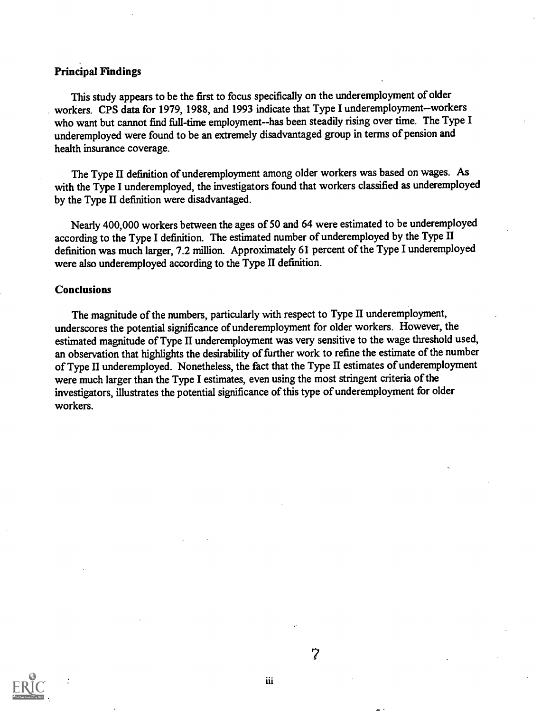# Principal Findings

This study appears to be the first to focus specifically on the underemployment of older workers. CPS data for 1979, 1988, and 1993 indicate that Type I underemployment--workers who want but cannot find full-time employment--has been steadily rising over time. The Type I underemployed were found to be an extremely disadvantaged group in terms of pension and health insurance coverage.

The Type II definition of underemployment among older workers was based on wages. As with the Type I underemployed, the investigators found that workers classified as underemployed by the Type II definition were disadvantaged.

Nearly 400,000 workers between the ages of 50 and 64 were estimated to be underemployed according to the Type I definition. The estimated number of underemployed by the Type II definition was much larger, 7.2 million. Approximately 61 percent of the Type I underemployed were also underemployed according to the Type II definition.

#### Conclusions

The magnitude of the numbers, particularly with respect to Type II underemployment, underscores the potential significance of underemployment for older workers. However, the estimated magnitude of Type II underemployment was very sensitive to the wage threshold used, an observation that highlights the desirability of further work to refine the estimate of the number of Type II underemployed. Nonetheless, the fact that the Type II estimates of underemployment were much larger than the Type I estimates, even using the most stringent criteria of the investigators, illustrates the potential significance of this type of underemployment for older workers.



7

iii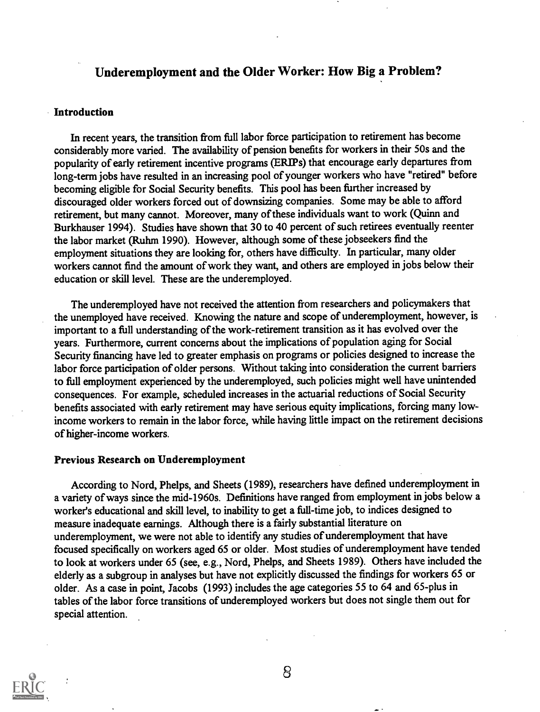# Underemployment and the Older Worker: How Big a Problem?

#### Introduction

In recent years, the transition from full labor force participation to retirement has become considerably more varied. The availability of pension benefits for workers in their 50s and the popularity of early retirement incentive programs (ERIPs) that encourage early departures from long-term jobs have resulted in an increasing pool of younger workers who have "retired" before becoming eligible for Social Security benefits. This pool has been further increased by discouraged older workers forced out of downsizing companies. Some may be able to afford retirement, but many cannot. Moreover, many of these individuals want to work (Quinn and Burkhauser 1994). Studies have shown that 30 to 40 percent of such retirees eventually reenter the labor market (Ruhm 1990). However, although some of these jobseekers find the employment situations they are looking for, others have difficulty. In particular, many older workers cannot find the amount of work they want, and others are employed in jobs below their education or skill level. These are the underemployed.

The underemployed have not received the attention from researchers and policymakers that the unemployed have received. Knowing the nature and scope of underemployment, however, is important to a full understanding of the work-retirement transition as it has evolved over the years. Furthermore, current concerns about the implications of population aging for Social Security financing have led to greater emphasis on programs or policies designed to increase the labor force participation of older persons. Without taking into consideration the current barriers to full employment experienced by the underemployed, such policies might well have unintended consequences. For example, scheduled increases in the actuarial reductions of Social Security benefits associated with early retirement may have serious equity implications, forcing many lowincome workers to remain in the labor force, while having little impact on the retirement decisions of higher-income workers.

#### Previous Research on Underemployment

According to Nord, Phelps, and Sheets (1989), researchers have defined underemployment in a variety of ways since the mid-1960s. Definitions have ranged from employment in jobs below a worker's educational and skill level, to inability to get a full-time job, to indices designed to measure inadequate earnings. Although there is a fairly substantial literature on underemployment, we were not able to identify any studies of underemployment that have focused specifically on workers aged 65 or older. Most studies of underemployment have tended to look at workers under 65 (see, e.g., Nord, Phelps, and Sheets 1989). Others have included the elderly as a subgroup in analyses but have not explicitly discussed the findings for workers 65 or older. As a case in point, Jacobs (1993) includes the age categories 55 to 64 and 65-plus in tables of the labor force transitions of underemployed workers but does not single them out for special attention.

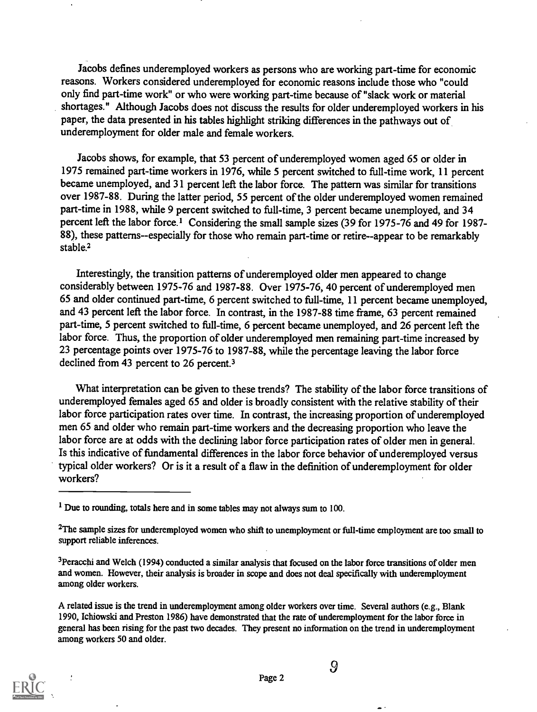Jacobs defines underemployed workers as persons who are working part-time for economic reasons. Workers considered underemployed for economic reasons include those who "could only find part-time work" or who were working part-time because of "slack work or material shortages." Although Jacobs does not discuss the results for older underemployed workers in his paper, the data presented in his tables highlight striking differences in the pathways out of underemployment for older male and female workers.

Jacobs shows, for example, that 53 percent of underemployed women aged 65 or older in 1975 remained part-time workers in 1976, while 5 percent switched to full-time work, 11 percent became unemployed, and 31 percent left the labor force. The pattern was similar for transitions over 1987-88. During the latter period, 55 percent of the older underemployed women remained part-time in 1988, while 9 percent switched to full-time, 3 percent became unemployed, and 34 percent left the labor force.' Considering the small sample sizes (39 for 1975-76 and 49 for 1987- 88), these patterns--especially for those who remain part-time or retire--appear to be remarkably stable.<sup>2</sup>

Interestingly, the transition patterns of underemployed older men appeared to change considerably between 1975-76 and 1987-88. Over 1975-76, 40 percent of underemployed men 65 and older continued part-time, 6 percent switched to full-time, 11 percent became unemployed, and 43 percent left the labor force. In contrast, in the 1987-88 time frame, 63 percent remained part-time, 5 percent switched to full-time, 6 percent became unemployed, and 26 percent left the labor force. Thus, the proportion of older underemployed men remaining part-time increased by 23 percentage points over 1975-76 to 1987-88, while the percentage leaving the labor force declined from 43 percent to 26 percent.3

What interpretation can be given to these trends? The stability of the labor force transitions of underemployed females aged 65 and older is broadly consistent with the relative stability of their labor force participation rates over time. In contrast, the increasing proportion of underemployed men 65 and older who remain part-time workers and the decreasing proportion who leave the labor force are at odds with the declining labor force participation rates of older men in general. Is this indicative of fundamental differences in the labor force behavior of underemployed versus typical older workers? Or is it a result of a flaw in the definition of underemployment for older workers?

A related issue is the trend in underemployment among older workers over time. Several authors (e.g., Blank 1990, Ichiowski and Preston 1986) have demonstrated that the rate of underemployment for the labor force in general has been rising for the past two decades. They present no information on the trend in underemployment among workers 50 and older.



<sup>&</sup>lt;sup>1</sup> Due to rounding, totals here and in some tables may not always sum to 100.

<sup>&</sup>lt;sup>2</sup>The sample sizes for underemployed women who shift to unemployment or full-time employment are too small to support reliable inferences.

<sup>&</sup>lt;sup>3</sup>Peracchi and Welch (1994) conducted a similar analysis that focused on the labor force transitions of older men and women. However, their analysis is broader in scope and does not deal specifically with underemployment among older workers.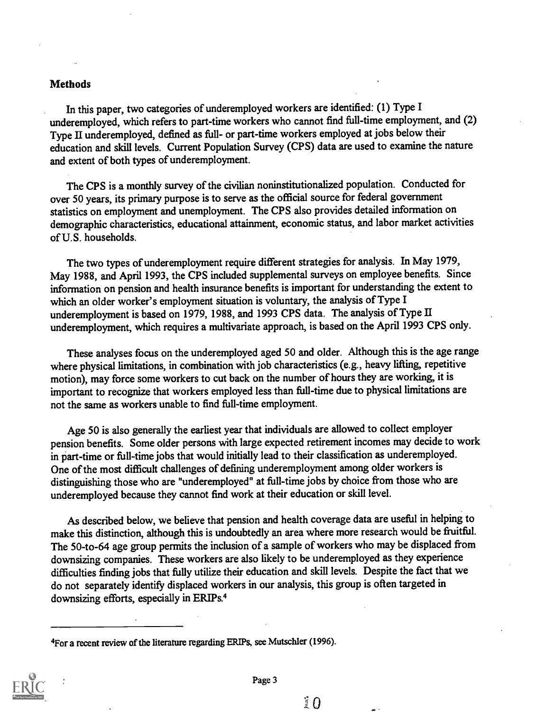#### Methods

In this paper, two categories of underemployed workers are identified: (1) Type I underemployed, which refers to part-time workers who cannot find full-time employment, and (2) Type II underemployed, defined as full- or part-time workers employed at jobs below their education and skill levels. Current Population Survey (CPS) data are used to examine the nature and extent of both types of underemployment.

The CPS is a monthly survey of the civilian noninstitutionalized population. Conducted for over 50 years, its primary purpose is to serve as the official source for federal government statistics on employment and unemployment. The CPS also provides detailed information on demographic characteristics, educational attainment, economic status, and labor market activities of U.S. households.

The two types of underemployment require different strategies for analysis. In May 1979, May 1988, and April 1993, the CPS included supplemental surveys on employee benefits. Since information on pension and health insurance benefits is important for understanding the extent to which an older worker's employment situation is voluntary, the analysis of Type I underemployment is based on 1979, 1988, and 1993 CPS data. The analysis of Type II underemployment, which requires a multivariate approach, is based on the April 1993 CPS only.

These analyses focus on the underemployed aged 50 and older. Although this is the age range where physical limitations, in combination with job characteristics (e.g., heavy lifting, repetitive motion), may force some workers to cut back on the number of hours they are working, it is important to recognize that workers employed less than full-time due to physical limitations are not the same as workers unable to find full-time employment.

Age 50 is also generally the earliest year that individuals are allowed to collect employer pension benefits. Some older persons with large expected retirement incomes may decide to work in part-time or full-time jobs that would initially lead to their classification as underemployed. One of the most difficult challenges of defining underemployment among older workers is distinguishing those who are "underemployed" at full-time jobs by choice from those who are underemployed because they cannot find work at their education or skill level.

As described below, we believe that pension and health coverage data are useful in helping to make this distinction, although this is undoubtedly an area where more research would be fruitful. The 50-to-64 age group permits the inclusion of a sample of workers who may be displaced from downsizing companies. These workers are also likely to be underemployed as they experience difficulties finding jobs that fully utilize their education and skill levels. Despite the fact that we do not separately identify displaced workers in our analysis, this group is often targeted in downsizing efforts, especially in ERIPs.4

<sup>4</sup>For a recent review of the literature regarding ERIPs, see Mutschler (1996).



 $\sqrt{2}$   $\Omega$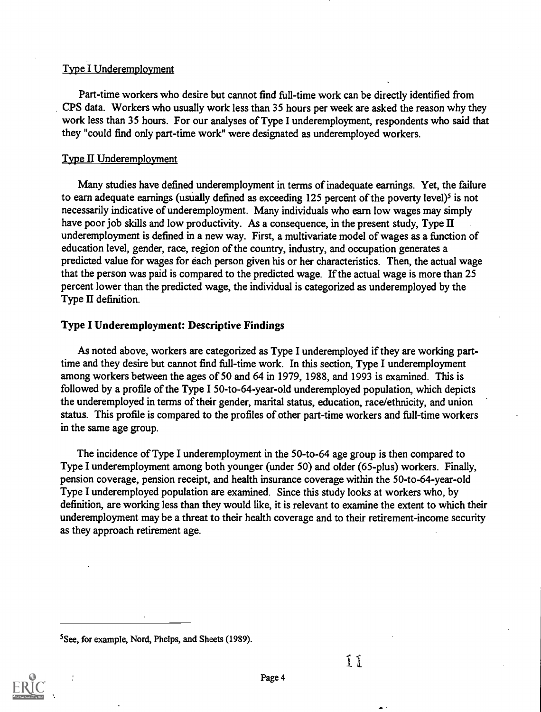# Type I Underemployment

Part-time workers who desire but cannot find full-time work can be directly identified from CPS data. Workers who usually work less than 35 hours per week are asked the reason why they work less than 35 hours. For our analyses of Type I underemployment, respondents who said that they "could find only part-time work" were designated as underemployed workers.

# Type II Underemployment

Many studies have defined underemployment in terms of inadequate earnings. Yet, the failure to earn adequate earnings (usually defined as exceeding  $125$  percent of the poverty level)<sup>5</sup> is not necessarily indicative of underemployment. Many individuals who earn low wages may simply have poor job skills and low productivity. As a consequence, in the present study, Type II underemployment is defined in a new way. First, a multivariate model of wages as a function of education level, gender, race, region of the country, industry, and occupation generates a predicted value for wages for each person given his or her characteristics. Then, the actual wage that the person was paid is compared to the predicted wage. If the actual wage is more than 25 percent lower than the predicted wage, the individual is categorized as underemployed by the Type II definition.

# Type I Underemployment: Descriptive Findings

As noted above, workers are categorized as Type I underemployed if they are working parttime and they desire but cannot find full-time work. In this section, Type I underemployment among workers between the ages of 50 and 64 in 1979, 1988, and 1993 is examined. This is followed by a profile of the Type I 50-to-64-year-old underemployed population, which depicts the underemployed in terms of their gender, marital status, education, race/ethnicity, and union status. This profile is compared to the profiles of other part-time workers and full-time workers in the same age group.

The incidence of Type I underemployment in the 50-to-64 age group is then compared to Type I underemployment among both younger (under 50) and older (65-plus) workers. Finally, pension coverage, pension receipt, and health insurance coverage within the 50-to-64-year-old Type I underemployed population are examined. Since this study looks at workers who, by definition, are working less than they would like, it is relevant to examine the extent to which their underemployment may be a threat to their health coverage and to their retirement-income security as they approach retirement age.

<sup>5</sup>See, for example, Nord, Phelps, and Sheets (1989).

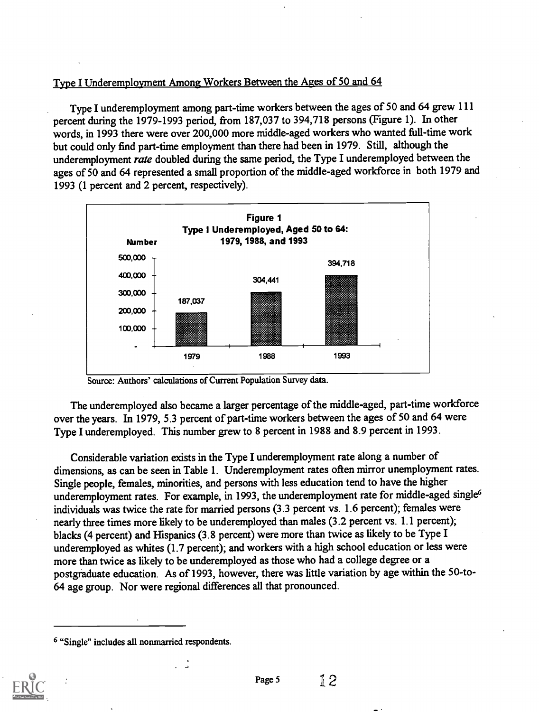# Type I Underemployment Among Workers Between the Ages of 50 and 64

Type I underemployment among part-time workers between the ages of 50 and 64 grew 111 percent during the 1979-1993 period, from 187,037 to 394,718 persons (Figure 1). In other words, in 1993 there were over 200,000 more middle-aged workers who wanted full-time work but could only find part-time employment than there had been in 1979. Still, although the underemployment *rate* doubled during the same period, the Type I underemployed between the ages of 50 and 64 represented a small proportion of the middle-aged workforce in both 1979 and 1993 (1 percent and 2 percent, respectively).



Source: Authors' calculations of Current Population Survey data.

The underemployed also became a larger percentage of the middle-aged, part-time workforce over the years. In 1979, 5.3 percent of part-time workers between the ages of 50 and 64 were Type I underemployed. This number grew to 8 percent in 1988 and 8.9 percent in 1993.

Considerable variation exists in the Type I underemployment rate along a number of dimensions, as can be seen in Table 1. Underemployment rates often mirror unemployment rates. Single people, females, minorities, and persons with less education tend to have the higher underemployment rates. For example, in 1993, the underemployment rate for middle-aged single<sup>6</sup> individuals was twice the rate for married persons (3.3 percent vs. 1.6 percent); females were nearly three times more likely to be underemployed than males (3.2 percent vs. 1.1 percent); blacks (4 percent) and Hispanics (3.8 percent) were more than twice as likely to be Type I underemployed as whites (1.7 percent); and workers with a high school education or less were more than twice as likely to be underemployed as those who had a college degree or a postgraduate education. As of 1993, however, there was little variation by age within the 50-to-64 age group. Nor were regional differences all that pronounced.

<sup>6 &</sup>quot;Single" includes all nonmarried respondents.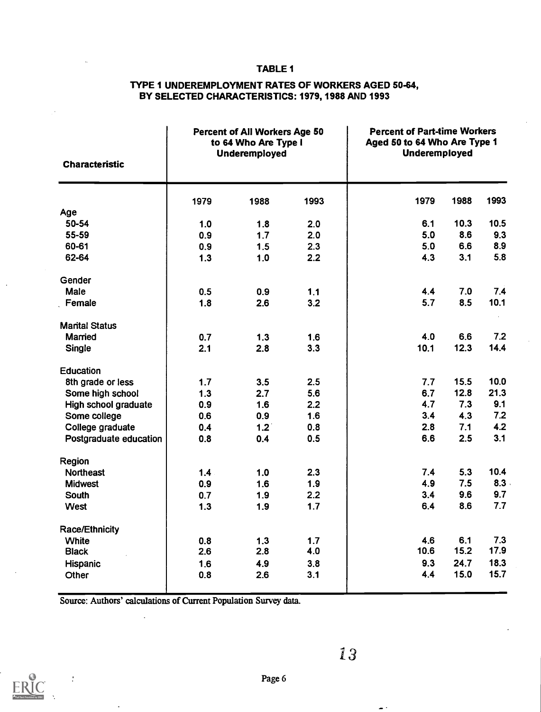#### TABLE 1

## TYPE 1 UNDEREMPLOYMENT RATES OF WORKERS AGED 50-64, BY SELECTED CHARACTERISTICS: 1979, 1988 AND 1993

| <b>Characteristic</b>  |      | Percent of All Workers Age 50<br>to 64 Who Are Type I<br><b>Underemployed</b> |      | <b>Percent of Part-time Workers</b><br>Aged 50 to 64 Who Are Type 1<br>Underemployed |        |      |
|------------------------|------|-------------------------------------------------------------------------------|------|--------------------------------------------------------------------------------------|--------|------|
|                        | 1979 | 1988                                                                          | 1993 | 1979                                                                                 | 1988   | 1993 |
| Age                    |      |                                                                               |      |                                                                                      |        |      |
| 50-54                  | 1.0  | 1.8                                                                           | 2.0  | 6.1                                                                                  | 10.3   | 10.5 |
| 55-59                  | 0.9  | 1.7                                                                           | 2.0  | 5.0                                                                                  | 8.6    | 9.3  |
| 60-61                  | 0.9  | 1.5                                                                           | 2.3  | 5.0                                                                                  | 6.6    | 8.9  |
| 62-64                  | 1.3  | 1.0                                                                           | 2.2  | 4.3                                                                                  | 3.1    | 5.8  |
| Gender                 |      |                                                                               |      |                                                                                      |        |      |
| Male                   | 0.5  | 0.9                                                                           | 1.1  | 4.4                                                                                  | 7.0    | 7.4  |
| Female                 | 1.8  | 2.6                                                                           | 3.2  | 5.7                                                                                  | 8.5    | 10.1 |
| <b>Marital Status</b>  |      |                                                                               |      |                                                                                      |        |      |
| Married                | 0.7  | 1.3                                                                           | 1.6  | 4.0                                                                                  | 6.6    | 7.2  |
| <b>Single</b>          | 2.1  | 2.8                                                                           | 3.3  | 10.1                                                                                 | 12.3   | 14.4 |
| <b>Education</b>       |      |                                                                               |      |                                                                                      |        |      |
| 8th grade or less      | 1.7  | 3.5                                                                           | 2.5  | 7.7                                                                                  | 15.5   | 10.0 |
| Some high school       | 1.3  | 2.7                                                                           | 5.6  | 6.7                                                                                  | 12.8   | 21.3 |
| High school graduate   | 0.9  | 1.6                                                                           | 2.2  | 4.7                                                                                  | 7.3    | 9.1  |
| Some college           | 0.6  | 0.9                                                                           | 1.6  | 3.4                                                                                  | 4.3    | 7.2  |
| College graduate       | 0.4  | 1.2                                                                           | 0.8  | 2.8                                                                                  | 7.1    | 4.2  |
| Postgraduate education | 0.8  | 0.4                                                                           | 0.5  | 6.6                                                                                  | 2.5    | 3.1  |
| Region                 |      |                                                                               |      |                                                                                      |        |      |
| <b>Northeast</b>       | 1.4  | 1.0                                                                           | 2.3  | 7.4                                                                                  | 5.3    | 10.4 |
| <b>Midwest</b>         | 0.9  | 1.6                                                                           | 1.9  | 4.9                                                                                  | 7.5    | 8.3  |
| <b>South</b>           | 0.7  | 1.9                                                                           | 2.2  | 3.4                                                                                  | 9.6    | 9.7  |
| <b>West</b>            | 1.3  | 1.9                                                                           | 1.7  | 6.4                                                                                  | 8.6    | 7.7  |
| <b>Race/Ethnicity</b>  |      |                                                                               |      |                                                                                      |        |      |
| <b>White</b>           | 0.8  | 1.3                                                                           | 1.7  | 4.6                                                                                  | 6.1    | 7.3  |
| <b>Black</b>           | 2.6  | 2.8                                                                           | 4.0  | 10.6                                                                                 | $15.2$ | 17.9 |
| <b>Hispanic</b>        | 1.6  | 4.9                                                                           | 3.8  | 9.3                                                                                  | 24.7   | 18.3 |
| Other                  | 0.8  | 2.6                                                                           | 3.1  | 4.4                                                                                  | 15.0   | 15.7 |

Source: Authors' calculations of Current Population Survey data.



 $\bullet$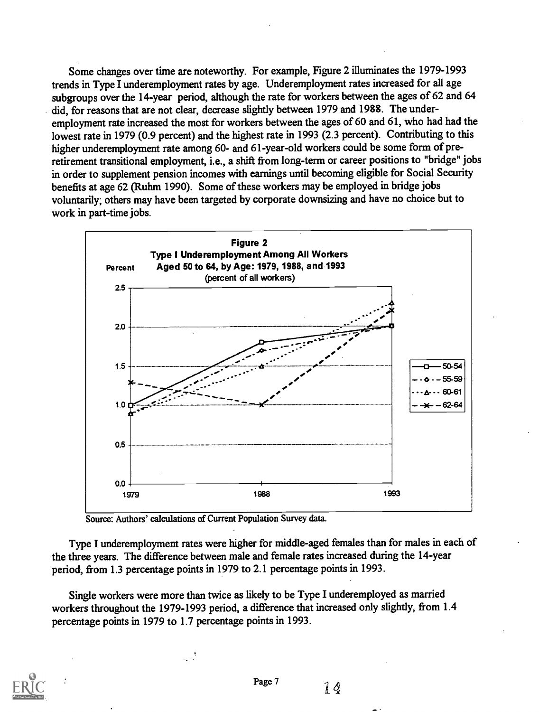Some changes over time are noteworthy. For example, Figure 2 illuminates the 1979-1993 trends in Type I underemployment rates by age. Underemployment rates increased for all age subgroups over the 14-year period, although the rate for workers between the ages of 62 and 64 did, for reasons that are not clear, decrease slightly between 1979 and 1988. The underemployment rate increased the most for workers between the ages of 60 and 61, who had had the lowest rate in 1979 (0.9 percent) and the highest rate in 1993 (2.3 percent). Contributing to this higher underemployment rate among 60- and 61-year-old workers could be some form of preretirement transitional employment, i.e., a shift from long-term or career positions to "bridge" jobs in order to supplement pension incomes with earnings until becoming eligible for Social Security benefits at age 62 (Ruhm 1990). Some of these workers may be employed in bridge jobs voluntarily; others may have been targeted by corporate downsizing and have no choice but to work in part-time jobs.



Source: Authors' calculations of Current Population Survey data.

Type I underemployment rates were higher for middle-aged females than for males in each of the three years. The difference between male and female rates increased during the 14-year period, from 1.3 percentage points in 1979 to 2.1 percentage points in 1993.

Single workers were more than twice as likely to be Type I underemployed as married workers throughout the 1979-1993 period, a difference that increased only slightly, from 1.4 percentage points in 1979 to 1.7 percentage points in 1993.

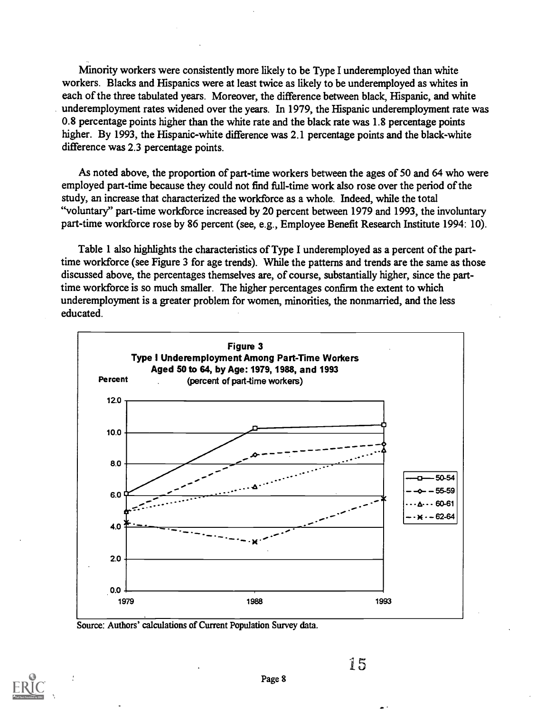Minority workers were consistently more likely to be Type I underemployed than white workers. Blacks and Hispanics were at least twice as likely to be underemployed as whites in each of the three tabulated years. Moreover, the difference between black, Hispanic, and white underemployment rates widened over the years. In 1979, the Hispanic underemployment rate was 0.8 percentage points higher than the white rate and the black rate was 1.8 percentage points higher. By 1993, the Hispanic-white difference was 2.1 percentage points and the black-white difference was 2.3 percentage points.

As noted above, the proportion of part-time workers between the ages of 50 and 64 who were employed part-time because they could not find full-time work also rose over the period of the study, an increase that characterized the workforce as a whole. Indeed, while the total "voluntary" part-time workforce increased by 20 percent between 1979 and 1993, the involuntary part-time workforce rose by 86 percent (see, e.g., Employee Benefit Research Institute 1994: 10).

Table 1 also highlights the characteristics of Type I underemployed as a percent of the parttime workforce (see Figure 3 for age trends). While the patterns and trends are the same as those discussed above, the percentages themselves are, of course, substantially higher, since the parttime workforce is so much smaller. The higher percentages confirm the extent to which underemployment is a greater problem for women, minorities, the nonmarried, and the less educated.



Source: Authors' calculations of Current Population Survey data.

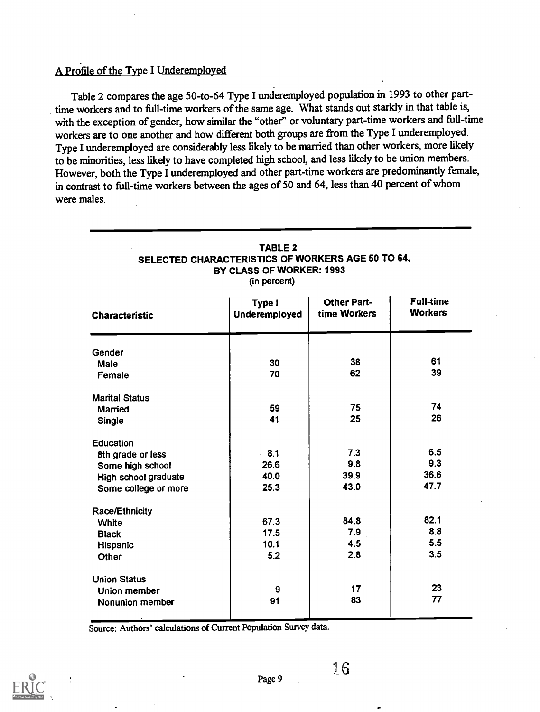# A Profile of the Type I Underemployed

Table 2 compares the age 50-to-64 Type I underemployed population in 1993 to other parttime workers and to full-time workers of the same age. What stands out starkly in that table is, with the exception of gender, how similar the "other" or voluntary part-time workers and full-time workers are to one another and how different both groups are from the Type I underemployed. Type I underemployed are considerably less likely to be married than other workers, more likely to be minorities, less likely to have completed high school, and less likely to be union members. However, both the Type I underemployed and other part-time workers are predominantly female, in contrast to full-time workers between the ages of 50 and 64, less than 40 percent of whom were males.

| <b>Characteristic</b> | Type I<br><b>Underemployed</b> | <b>Other Part-</b><br>time Workers | <b>Full-time</b><br><b>Workers</b> |
|-----------------------|--------------------------------|------------------------------------|------------------------------------|
| Gender                |                                |                                    |                                    |
| Male                  | 30                             | 38                                 | 61                                 |
| Female                | 70                             | 62                                 | 39                                 |
| <b>Marital Status</b> |                                |                                    |                                    |
| Married               | 59                             | 75                                 | 74                                 |
| Single                | 41                             | 25                                 | 26                                 |
| <b>Education</b>      |                                |                                    |                                    |
| 8th grade or less     | $-8.1$                         | 7.3                                | 6.5                                |
| Some high school      | 26.6                           | 9.8                                | 9.3                                |
| High school graduate  | 40.0                           | 39.9                               | 36.6                               |
| Some college or more  | 25.3                           | 43.0                               | 47.7                               |
| <b>Race/Ethnicity</b> |                                |                                    |                                    |
| White                 | 67.3                           | 84.8                               | 82.1                               |
| <b>Black</b>          | 17.5                           | 7.9                                | 8.8                                |
| Hispanic              | 10.1                           | 4.5                                | 5.5                                |
| Other                 | 5.2                            | 2.8                                | 3.5                                |
| <b>Union Status</b>   |                                |                                    |                                    |
| Union member          | 9                              | 17                                 | 23                                 |
| Nonunion member       | 91                             | 83                                 | 77                                 |

#### TABLE 2 SELECTED CHARACTERISTICS OF WORKERS AGE 50 TO 64, BY CLASS OF WORKER: 1993

(in percent)

Source: Authors' calculations of Current Population Survey data.

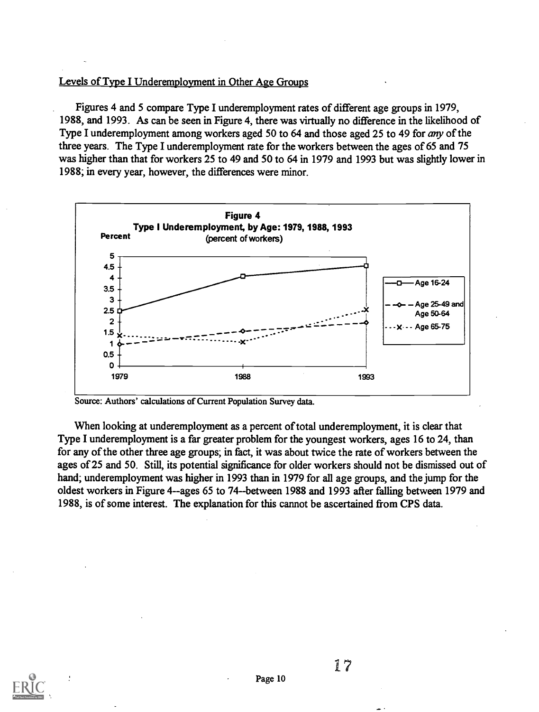# Levels of Type I Underemployment in Other Age Groups

Figures 4 and 5 compare Type I underemployment rates of different age groups in 1979, 1988, and 1993. As can be seen in Figure 4, there was virtually no difference in the likelihood of Type I underemployment among workers aged 50 to 64 and those aged 25 to 49 for *any* of the three years. The Type I underemployment rate for the workers between the ages of 65 and 75 was higher than that for workers 25 to 49 and 50 to 64 in 1979 and 1993 but was slightly lower in 1988; in every year, however, the differences were minor.



Source: Authors' calculations of Current Population Survey data.

When looking at underemployment as a percent of total underemployment, it is clear that Type I underemployment is a far greater problem for the youngest workers, ages 16 to 24, than for any of the other three age groups; in fact, it was about twice the rate of workers between the ages of 25 and 50. Still, its potential significance for older workers should not be dismissed out of hand; underemployment was higher in 1993 than in 1979 for all age groups, and the jump for the oldest workers in Figure 4--ages 65 to 74--between 1988 and 1993 after falling between 1979 and 1988, is of some interest. The explanation for this cannot be ascertained from CPS data.

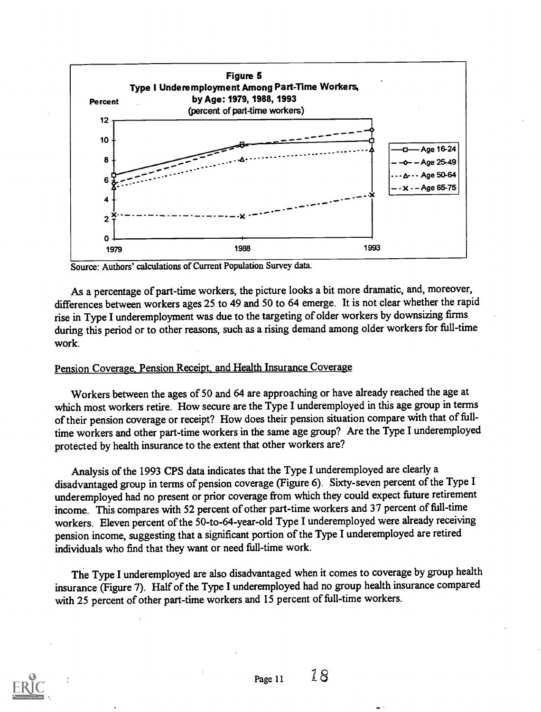

Source: Authors' calculations of Current Population Survey data.

As a percentage of part-time workers, the picture looks a bit more dramatic, and, moreover, differences between workers ages 25 to 49 and 50 to 64 emerge. It is not clear whether the rapid rise in Type I underemployment was due to the targeting of older workers by downsizing firms during this period or to other reasons, such as a rising demand among older workers for full-time work.

# Pension Coverage, Pension Receipt, and Health Insurance Coverage

Workers between the ages of 50 and 64 are approaching or have already reached the age at which most workers retire. How secure are the Type I underemployed in this age group in terms of their pension coverage or receipt? How does their pension situation compare with that of fulltime workers and other part-time workers in the same age group? Are the Type I underemployed protected by health insurance to the extent that other workers are?

Analysis of the 1993 CPS data indicates that the Type I underemployed are clearly a disadvantaged group in terms of pension coverage (Figure 6). Sixty-seven percent of the Type I underemployed had no present or prior coverage from which they could expect future retirement income. This compares with 52 percent of other part-time workers and 37 percent of full-time workers. Eleven percent of the 50-to-64-year-old Type I underemployed were already receiving pension income, suggesting that a significant portion of the Type I underemployed are retired individuals who find that they want or need full-time work.

The Type I underemployed are also disadvantaged when it comes to coverage by group health insurance (Figure 7). Half of the Type I underemployed had no group health insurance compared with 25 percent of other part-time workers and 15 percent of full-time workers.

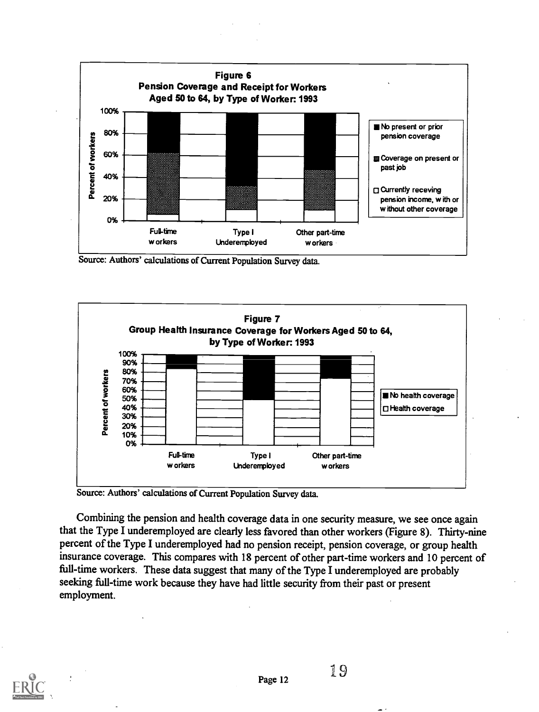

Source: Authors' calculations of Current Population Survey data.



Source: Authors' calculations of Current Population Survey data.

Combining the pension and health coverage data in one security measure, we see once again that the Type I underemployed are clearly less favored than other workers (Figure 8). Thirty-nine percent of the Type I underemployed had no pension receipt, pension coverage, or group health insurance coverage. This compares with 18 percent of other part-time workers and 10 percent of full-time workers. These data suggest that many of the Type I underemployed are probably seeking full-time work because they have had little security from their past or present employment.

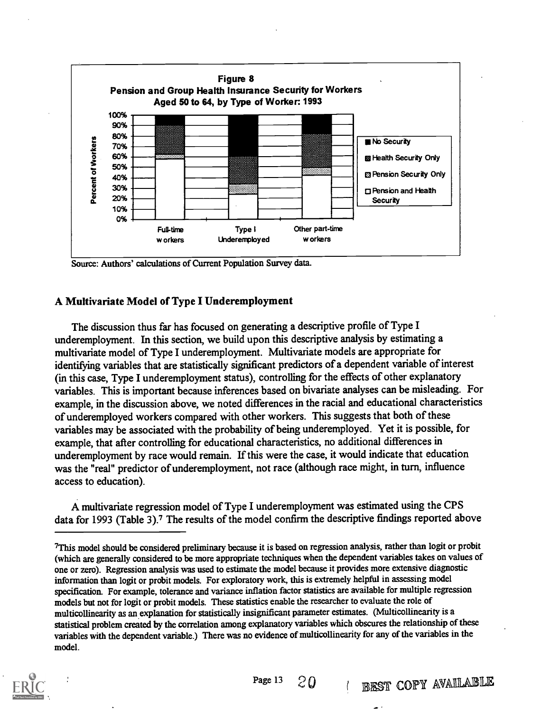

Source: Authors' calculations of Current Population Survey data.

## A Multivariate Model of Type I Underemployment

The discussion thus far has focused on generating a descriptive profile of Type I underemployment. In this section, we build upon this descriptive analysis by estimating a multivariate model of Type I underemployment. Multivariate models are appropriate for identifying variables that are statistically significant predictors of a dependent variable of interest (in this case, Type I underemployment status), controlling for the effects of other explanatory variables. This is important because inferences based on bivariate analyses can be misleading. For example, in the discussion above, we noted differences in the racial and educational characteristics of underemployed workers compared with other workers. This suggests that both of these variables may be associated with the probability of being underemployed. Yet it is possible, for example, that after controlling for educational characteristics, no additional differences in underemployment by race would remain. If this were the case, it would indicate that education was the "real" predictor of underemployment, not race (although race might, in turn, influence access to education).

A multivariate regression model of Type I underemployment was estimated using the CPS data for 1993 (Table 3).<sup>7</sup> The results of the model confirm the descriptive findings reported above

<sup>7</sup>This model should be considered preliminary because it is based on regression analysis, rather than logit or probit (which are generally considered to be more appropriate techniques when the dependent variables takes on values of one or zero). Regression analysis was used to estimate the model because it provides more extensive diagnostic information than logit or probit models. For exploratory work, this is extremely helpful in assessing model specification. For example, tolerance and variance inflation factor statistics are available for multiple regression models but not for logit or probit models. These statistics enable the researcher to evaluate the role of multicollinearity as an explanation for statistically insignificant parameter estimates. (Multicollinearity is a statistical problem created by the correlation among explanatory variables which obscures the relationship of these variables with the dependent variable.) There was no evidence of multicollinearity for any of the variables in the model.

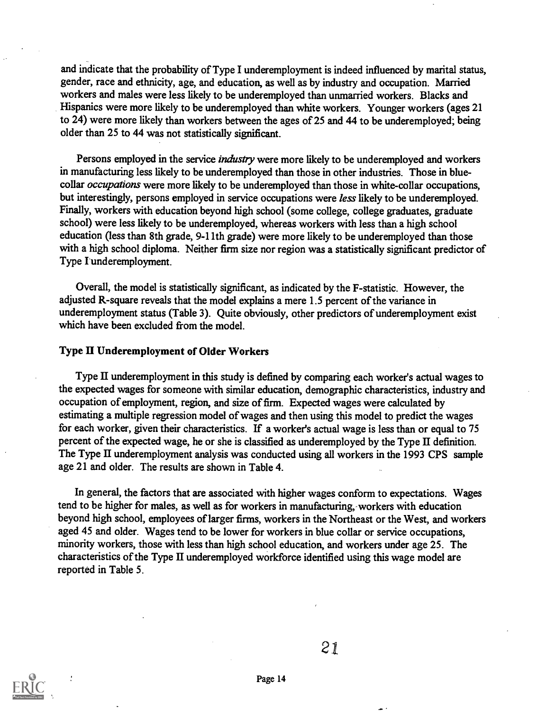and indicate that the probability of Type I underemployment is indeed influenced by marital status, gender, race and ethnicity, age, and education, as well as by industry and occupation. Married workers and males were less likely to be underemployed than unmarried workers. Blacks and Hispanics were more likely to be underemployed than white workers. Younger workers (ages 21 to 24) were more likely than workers between the ages of 25 and 44 to be underemployed; being older than 25 to 44 was not statistically significant.

Persons employed in the service *industry* were more likely to be underemployed and workers in manufacturing less likely to be underemployed than those in other industries. Those in bluecollar occupations were more likely to be underemployed than those in white-collar occupations, but interestingly, persons employed in service occupations were less likely to be underemployed. Finally, workers with education beyond high school (some college, college graduates, graduate school) were less likely to be underemployed, whereas workers with less than a high school education (less than 8th grade, 9-11th grade) were more likely to be underemployed than those with a high school diploma. Neither firm size nor region was a statistically significant predictor of Type I underemployment.

Overall, the model is statistically significant, as indicated by the F-statistic. However, the adjusted R-square reveals that the model explains a mere 1.5 percent of the variance in underemployment status (Table 3). Quite obviously, other predictors of underemployment exist which have been excluded from the model.

#### Type II Underemployment of Older Workers

Type II underemployment in this study is defined by comparing each worker's actual wages to the expected wages for someone with similar education, demographic characteristics, industry and occupation of employment, region, and size of firm. Expected wages were calculated by estimating a multiple regression model of wages and then using this model to predict the wages for each worker, given their characteristics. If a worker's actual wage is less than or equal to 75 percent of the expected wage, he or she is classified as underemployed by the Type II definition. The Type II underemployment analysis was conducted using all workers in the 1993 CPS sample age 21 and older. The results are shown in Table 4.

In general, the factors that are associated with higher wages conform to expectations. Wages tend to be higher for males, as well as for workers in manufacturing,-workers with education beyond high school, employees of larger firms, workers in the Northeast or the West, and workers aged 45 and older. Wages tend to be lower for workers in blue collar or service occupations, minority workers, those with less than high school education, and workers under age 25. The characteristics of the Type II underemployed workforce identified using this wage model are reported in Table 5.

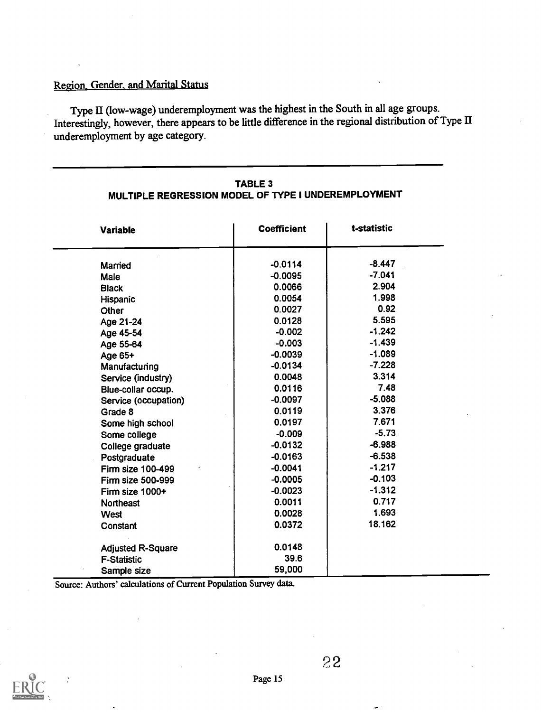# Region. Gender. and Marital Status

Type II (low-wage) underemployment was the highest in the South in all age groups. Interestingly, however, there appears to be little difference in the regional distribution of Type II underemployment by age category.

| <b>Variable</b>          | <b>Coefficient</b> | t-statistic |
|--------------------------|--------------------|-------------|
| Married                  | $-0.0114$          | $-8.447$    |
| Male                     | $-0.0095$          | $-7.041$    |
| <b>Black</b>             | 0.0066             | 2.904       |
| Hispanic                 | 0.0054             | 1.998       |
| Other                    | 0.0027             | 0.92        |
| Age 21-24                | 0.0128             | 5.595       |
| Age 45-54                | $-0.002$           | $-1.242$    |
| Age 55-64                | $-0.003$           | $-1.439$    |
| Age 65+                  | $-0.0039$          | $-1.089$    |
| Manufacturing            | $-0.0134$          | $-7.228$    |
| Service (industry)       | 0.0048             | 3.314       |
| Blue-collar occup.       | 0.0116             | 7.48        |
| Service (occupation)     | $-0.0097$          | $-5.088$    |
| Grade 8                  | 0.0119             | 3.376       |
| Some high school         | 0.0197             | 7.671       |
| Some college             | $-0.009$           | $-5.73$     |
| College graduate         | $-0.0132$          | $-6.988$    |
| Postgraduate             | $-0.0163$          | $-6.538$    |
| Firm size 100-499        | $-0.0041$          | $-1.217$    |
| <b>Firm size 500-999</b> | $-0.0005$          | $-0.103$    |
| Firm size 1000+          | $-0.0023$          | $-1.312$    |
| <b>Northeast</b>         | 0.0011             | 0.717       |
| West                     | 0.0028             | 1.693       |
| Constant                 | 0.0372             | 18.162      |
| <b>Adjusted R-Square</b> | 0.0148             |             |
| <b>F-Statistic</b>       | 39.6               |             |
| Sample size              | 59,000             |             |

## TABLE 3 MULTIPLE REGRESSION MODEL OF TYPE I UNDEREMPLOYMENT

Source: Authors' calculations of Current Population Survey data.

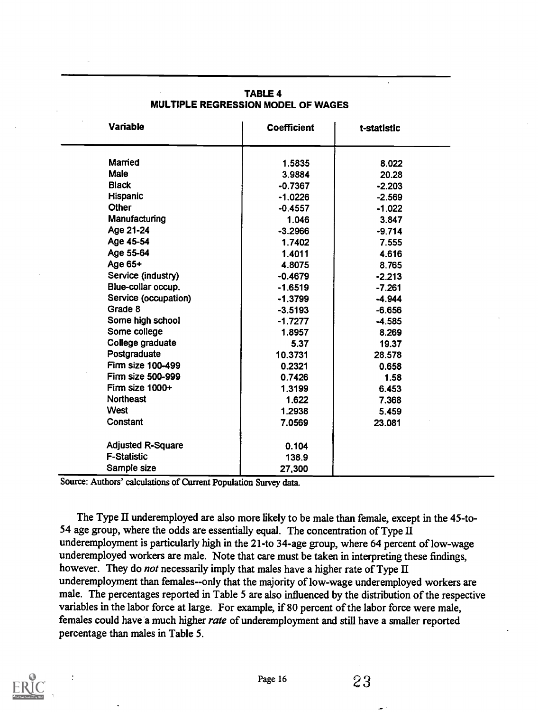| <b>Variable</b>          | <b>Coefficient</b> | t-statistic |
|--------------------------|--------------------|-------------|
| Married                  | 1.5835             | 8.022       |
| <b>Male</b>              | 3.9884             | 20.28       |
| <b>Black</b>             | $-0.7367$          | $-2.203$    |
| Hispanic                 | $-1.0226$          | $-2.569$    |
| <b>Other</b>             | $-0.4557$          | $-1.022$    |
| Manufacturing            | 1.046              | 3.847       |
| Age 21-24                | $-3.2966$          | $-9.714$    |
| Age 45-54                | 1.7402             | 7.555       |
| Age 55-64                | 1.4011             | 4.616       |
| Age 65+                  | 4.8075             | 8.765       |
| Service (industry)       | $-0.4679$          | $-2.213$    |
| Blue-collar occup.       | $-1.6519$          | $-7.261$    |
| Service (occupation)     | $-1.3799$          | $-4.944$    |
| Grade 8                  | $-3.5193$          | $-6.656$    |
| Some high school         | $-1.7277$          | $-4.585$    |
| Some college             | 1.8957             | 8.269       |
| College graduate         | 5.37               | 19.37       |
| Postgraduate             | 10.3731            | 28.578      |
| Firm size 100-499        | 0.2321             | 0.658       |
| Firm size 500-999        | 0.7426             | 1.58        |
| Firm size 1000+          | 1.3199             | 6.453       |
| <b>Northeast</b>         | 1.622              | 7.368       |
| <b>West</b>              | 1.2938             | 5.459       |
| Constant                 | 7.0569             | 23.081      |
| <b>Adjusted R-Square</b> | 0.104              |             |
| <b>F-Statistic</b>       | 138.9              |             |
| Sample size              | 27,300             |             |

# TABLE 4 MULTIPLE REGRESSION MODEL OF WAGES

 $\ddot{\phantom{0}}$ 

Source: Authors' calculations of Current Population Survey data

The Type II underemployed are also more likely to be male than female, except in the 45-to-54 age group, where the odds are essentially equal. The concentration of Type II underemployment is particularly high in the 21-to 34-age group, where 64 percent of low-wage underemployed workers are male. Note that care must be taken in interpreting these findings, however. They do not necessarily imply that males have a higher rate of Type  $II$ underemployment than females--only that the majority of low-wage underemployed workers are male. The percentages reported in Table 5 are also influenced by the distribution of the respective variables in the labor force at large. For example, if 80 percent of the labor force were male, females could have a much higher rate of underemployment and still have a smaller reported percentage than males in Table 5.

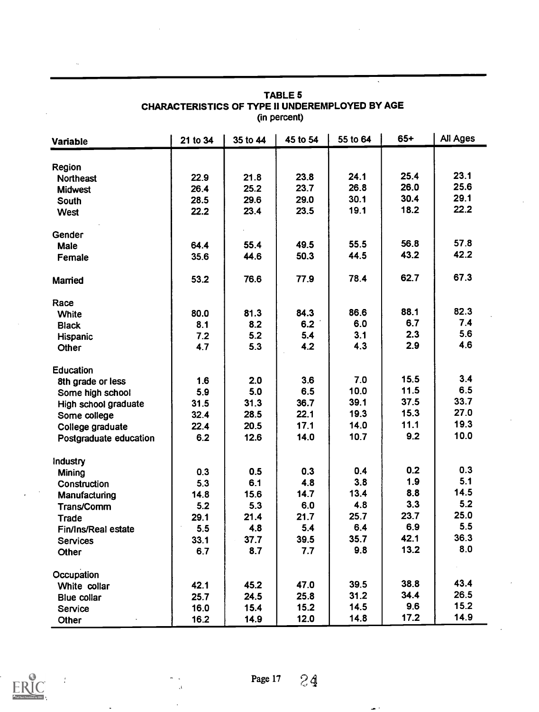| <b>Variable</b>            | 21 to 34 | 35 to 44 | 45 to 54 | 55 to 64 | $65+$ | All Ages |  |
|----------------------------|----------|----------|----------|----------|-------|----------|--|
|                            |          |          |          |          |       |          |  |
| Region<br><b>Northeast</b> | 22.9     | 21.8     | 23.8     | 24.1     | 25.4  | 23.1     |  |
| <b>Midwest</b>             | 26.4     | 25.2     | 23.7     | 26.8     | 26.0  | 25.6     |  |
| South                      | 28.5     | 29.6     | 29.0     | 30.1     | 30.4  | 29.1     |  |
| West                       | 22.2     | 23.4     | 23.5     | 19.1     | 18.2  | 22.2     |  |
| Gender                     |          |          |          |          |       |          |  |
| Male                       | 64.4     | 55.4     | 49.5     | 55.5     | 56.8  | 57.8     |  |
| Female                     | 35.6     | 44.6     | 50.3     | 44.5     | 43.2  | 42.2     |  |
| Married                    | 53.2     | 76.6     | 77.9     | 78.4     | 62.7  | 67.3     |  |
| Race                       |          |          |          |          |       |          |  |
| <b>White</b>               | 80.0     | 81.3     | 84.3     | 86.6     | 88.1  | 82.3     |  |
| <b>Black</b>               | 8.1      | 8.2      | 6.2      | 6.0      | 6.7   | 7.4      |  |
| Hispanic                   | 7.2      | 5.2      | 5.4      | 3.1      | 2.3   | 5.6      |  |
| Other                      | 4.7      | 5.3      | 4.2      | 4.3      | 2.9   | 4.6      |  |
| <b>Education</b>           |          |          |          |          |       |          |  |
| 8th grade or less          | 1.6      | 2.0      | 3.6      | 7.0      | 15.5  | 3.4      |  |
| Some high school           | 5.9      | 5.0      | 6.5      | 10.0     | 11.5  | 6.5      |  |
| High school graduate       | 31.5     | 31.3     | 36.7     | 39.1     | 37.5  | 33.7     |  |
| Some college               | 32.4     | 28.5     | 22.1     | 19.3     | 15.3  | 27.0     |  |
| College graduate           | 22.4     | 20.5     | 17.1     | 14.0     | 11.1  | 19.3     |  |
| Postgraduate education     | 6.2      | 12.6     | 14.0     | 10.7     | 9.2   | 10.0     |  |
| Industry                   |          |          |          |          |       |          |  |
| Mining                     | 0.3      | 0.5      | 0.3      | 0.4      | 0.2   | 0.3      |  |
| Construction               | 5.3      | 6.1      | 4.8      | 3.8      | 1.9   | 5.1      |  |
| Manufacturing              | 14.8     | 15.6     | 14.7     | 13.4     | 8.8   | 14.5     |  |
| Trans/Comm                 | 5.2      | 5.3      | 6.0      | 4.8      | 3.3   | 5.2      |  |
| <b>Trade</b>               | 29.1     | 21.4     | 21.7     | 25.7     | 23.7  | 25.0     |  |
| Fin/Ins/Real estate        | 5.5      | 4.8      | 5.4      | 6.4      | 6.9   | 5.5      |  |
| <b>Services</b>            | 33.1     | 37.7     | 39.5     | 35.7     | 42.1  | 36.3     |  |
| Other                      | 6.7      | 8.7      | 7.7      | 9.8      | 13.2  | 8.0      |  |
| Occupation                 |          |          |          |          |       |          |  |
| White collar               | 42.1     | 45.2     | 47.0     | 39.5     | 38.8  | 43.4     |  |
| <b>Blue collar</b>         | 25.7     | 24.5     | 25.8     | 31.2     | 34.4  | 26.5     |  |
| Service                    | 16.0     | 15.4     | 15.2     | 14.5     | 9.6   | 15.2     |  |
| Other                      | 16.2     | 14.9     | 12.0     | 14.8     | 17.2  | 14.9     |  |

# TABLE 5 CHARACTERISTICS OF TYPE II UNDEREMPLOYED BY AGE (in percent)

 $\ddot{\phantom{0}}$ 



 $\mathbf{A}$ 

÷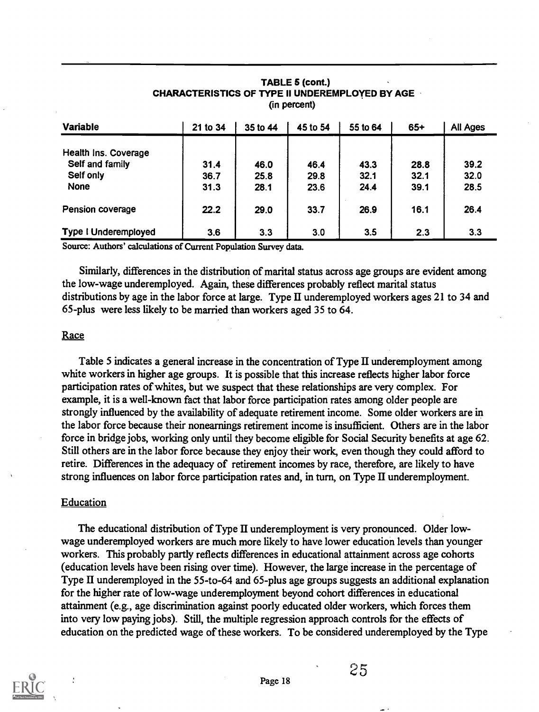| <b>Variable</b>             | 21 to 34 | 35 to 44 | 45 to 54 | 55 to 64 | $65+$ | All Ages |
|-----------------------------|----------|----------|----------|----------|-------|----------|
| Health Ins. Coverage        |          |          |          |          |       |          |
| Self and family             | 31.4     | 46.0     | 46.4     | 43.3     | 28.8  | 39.2     |
| Self only                   | 36.7     | 25.8     | 29.8     | 32.1     | 32.1  | 32.0     |
| <b>None</b>                 | 31.3     | 28.1     | 23.6     | 24.4     | 39.1  | 28.5     |
| <b>Pension coverage</b>     | 22.2     | 29.0     | 33.7     | 26.9     | 16.1  | 26.4     |
| <b>Type I Underemployed</b> | 3.6      | 3.3      | 3.0      | 3.5      | 2.3   | 3.3      |

#### TABLE 5 (cont.) CHARACTERISTICS OF TYPE II UNDEREMPLOYED BY AGE (in percent)

Source: Authors' calculations of Current Population Survey data.

Similarly, differences in the distribution of marital status across age groups are evident among the low-wage underemployed. Again, these differences probably reflect marital status distributions by age in the labor force at large. Type II underemployed workers ages 21 to 34 and 65-plus were less likely to be married than workers aged 35 to 64.

#### **Race**

Table 5 indicates a general increase in the concentration of Type II underemployment among white workers in higher age groups. It is possible that this increase reflects higher labor force participation rates of whites, but we suspect that these relationships are very complex. For example, it is a well-known fact that labor force participation rates among older people are strongly influenced by the availability of adequate retirement income. Some older workers are in the labor force because their nonearnings retirement income is insufficient. Others are in the labor force in bridge jobs, working only until they become eligible for Social Security benefits at age 62. Still others are in the labor force because they enjoy their work, even though they could afford to retire. Differences in the adequacy of retirement incomes by race, therefore, are likely to have strong influences on labor force participation rates and, in turn, on Type II underemployment.

#### **Education**

The educational distribution of Type II underemployment is very pronounced. Older lowwage underemployed workers are much more likely to have lower education levels than younger workers. This probably partly reflects differences in educational attainment across age cohorts (education levels have been rising over time). However, the large increase in the percentage of Type II underemployed in the 55-to-64 and 65-plus age groups suggests an additional explanation for the higher rate of low-wage underemployment beyond cohort differences in educational attainment (e.g., age discrimination against poorly educated older workers, which forces them into very low paying jobs). Still, the multiple regression approach controls for the effects of education on the predicted wage of these workers. To be considered underemployed by the Type

Page 18

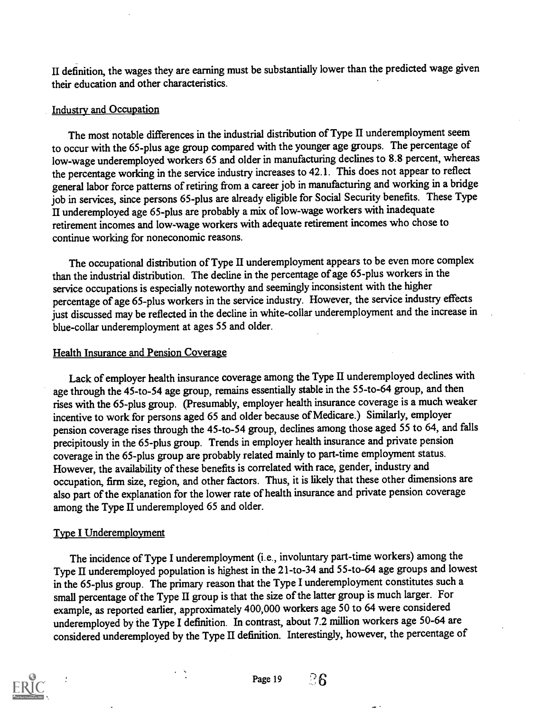II definition, the wages they are earning must be substantially lower than the predicted wage given their education and other characteristics.

# Industry and Occupation

The most notable differences in the industrial distribution of Type II underemployment seem to occur with the 65-plus age group compared with the younger age groups. The percentage of low-wage underemployed workers 65 and older in manufacturing declines to 8.8 percent, whereas the percentage working in the service industry increases to 42.1. This does not appear to reflect general labor force patterns of retiring from a career job in manufacturing and working in a bridge job in services, since persons 65-plus are already eligible for Social Security benefits. These Type II underemployed age 65-plus are probably a mix of low-wage workers with inadequate retirement incomes and low-wage workers with adequate retirement incomes who chose to continue working for noneconomic reasons.

The occupational distribution of Type II underemployment appears to be even more complex than the industrial distribution. The decline in the percentage of age 65-plus workers in the service occupations is especially noteworthy and seemingly inconsistent with the higher percentage of age 65-plus workers in the service industry. However, the service industry effects just discussed may be reflected in the decline in white-collar underemployment and the increase in blue-collar underemployment at ages 55 and older.

# Health Insurance and Pension Coverage

Lack of employer health insurance coverage among the Type II underemployed declines with age through the 45-to-54 age group, remains essentially stable in the 55-to-64 group, and then rises with the 65-plus group. (Presumably, employer health insurance coverage is a much weaker incentive to work for persons aged 65 and older because of Medicare.) Similarly, employer pension coverage rises through the 45-to-54 group, declines among those aged 55 to 64, and falls precipitously in the 65-plus group. Trends in employer health insurance and private pension coverage in the 65-plus group are probably related mainly to part-time employment status. However, the availability of these benefits is correlated with race, gender, industry and occupation, firm size, region, and other factors. Thus, it is likely that these other dimensions are also part of the explanation for the lower rate of health insurance and private pension coverage among the Type II underemployed 65 and older.

# Type I Underemployment

The incidence of Type I underemployment (i.e., involuntary part-time workers) among the Type II underemployed population is highest in the 21-to-34 and 55-to-64 age groups and lowest in the 65-plus group. The primary reason that the Type I underemployment constitutes such a small percentage of the Type II group is that the size of the latter group is muchlarger. For example, as reported earlier, approximately 400,000 workers age 50 to 64 were considered underemployed by the Type I definition. In contrast, about 7.2 million workers age 50-64 are considered underemployed by the Type II definition. Interestingly, however, the percentage of

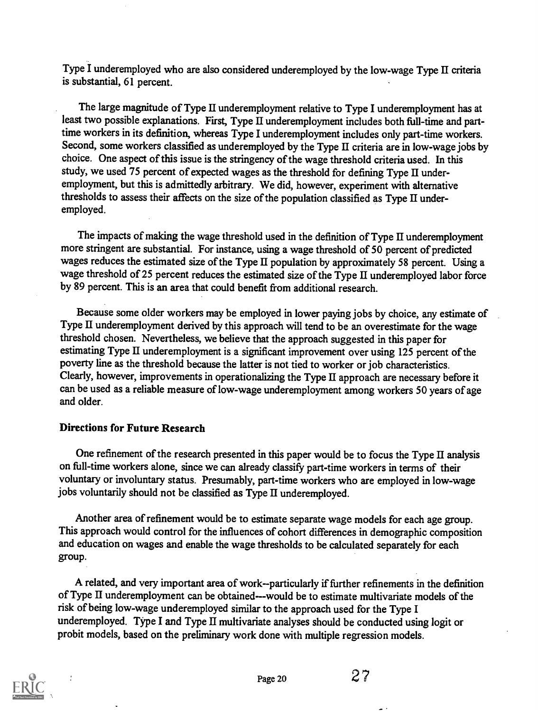Type I underemployed who are also considered underemployed by the low-wage Type II criteria is substantial, 61 percent.

The large magnitude of Type II underemployment relative to Type I underemployment has at least two possible explanations. First, Type II underemployment includes both full-time and parttime workers in its definition, whereas Type I underemployment includes only part-time workers. Second, some workers classified as underemployed by the Type II criteria are in low-wage jobs by choice. One aspect of this issue is the stringency of the wage threshold criteria used. In this study, we used 75 percent of expected wages as the threshold for defining Type II underemployment, but this is admittedly arbitrary. We did, however, experiment with alternative thresholds to assess their affects on the size of the population classified as Type II underemployed.

The impacts of making the wage threshold used in the definition of Type II underemployment more stringent are substantial. For instance, using a wage threshold of 50 percent of predicted wages reduces the estimated size of the Type II population by approximately 58 percent. Using a wage threshold of 25 percent reduces the estimated size of the Type II underemployed labor force by 89 percent. This is an area that could benefit from additional research.

Because some older workers may be employed in lower paying jobs by choice, any estimate of Type II underemployment derived by this approach will tend to be an overestimate for the wage threshold chosen. Nevertheless, we believe that the approach suggested in this paper for estimating Type II underemployment is a significant improvement over using 125 percent of the poverty line as the threshold because the latter is not tied to worker or job characteristics. Clearly, however, improvements in operationalizing the Type II approach are necessary before it can be used as a reliable measure of low-wage underemployment among workers 50 years of age and older.

# Directions for Future Research

One refinement of the research presented in this paper would be to focus the Type II analysis on full-time workers alone, since we can already classify part-time workers in terms of their voluntary or involuntary status. Presumably, part-time workers who are employed in low-wage jobs voluntarily should not be classified as Type II underemployed.

Another area of refinement would be to estimate separate wage models for each age group. This approach would control for the influences of cohort differences in demographic composition and education on wages and enable the wage thresholds to be calculated separately for each group.

A related, and very important area of work--particularly if further refinements in the definition of Type H underemployment can be obtained---would be to estimate multivariate models of the risk of being low-wage underemployed similar to the approach used for the Type I underemployed. Type I and Type II multivariate analyses should be conducted using logit or probit models, based on the preliminary work done with multiple regression models.

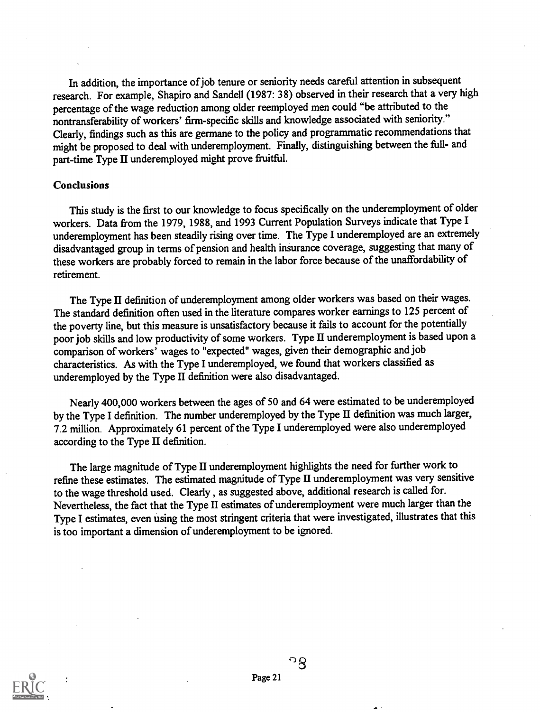In addition, the importance of job tenure or seniority needs careful attention in subsequent research. For example, Shapiro and Sandell (1987: 38) observed in their research that a very high percentage of the wage reduction among older reemployed men could "be attributed to the nontransferability of workers' firm-specific skills and knowledge associated with seniority." Clearly, findings such as this are germane to the policy and programmatic recommendationsthat might be proposed to deal with underemployment. Finally, distinguishing between the full- and part-time Type II underemployed might prove fruitful.

#### Conclusions

This study is the first to our knowledge to focus specifically on the underemployment of older workers. Data from the 1979, 1988, and 1993 Current Population Surveys indicate that Type I underemployment has been steadily rising over time. The Type I underemployed are an extremely disadvantaged group in terms of pension and health insurance coverage, suggesting that many of these workers are probably forced to remain in the labor force because of the unaffordability of retirement.

The Type II definition of underemployment among older workers was based on their wages. The standard definition often used in the literature compares worker earnings to 125 percent of the poverty line, but this measure is unsatisfactory because it fails to account for the potentially poor job skills and low productivity of some workers. Type II underemployment is based upon a comparison of workers' wages to "expected" wages, given their demographic and job characteristics. As with the Type I underemployed, we found that workers classified as underemployed by the Type II definition were also disadvantaged.

Nearly 400,000 workers between the ages of 50 and 64 were estimated to be underemployed by the Type I definition. The number underemployed by the Type II definition was muchlarger, 7.2 million. Approximately 61 percent of the Type I underemployed were also underemployed according to the Type  $\Pi$  definition.

The large magnitude of Type II underemployment highlights the need for further work to refine these estimates. The estimated magnitude of Type II underemployment was very sensitive to the wage threshold used. Clearly , as suggested above, additional research is called for. Nevertheless, the fact that the Type II estimates of underemployment were much larger than the Type I estimates, even using the most stringent criteria that were investigated, illustrates that this is too important a dimension of underemployment to be ignored.

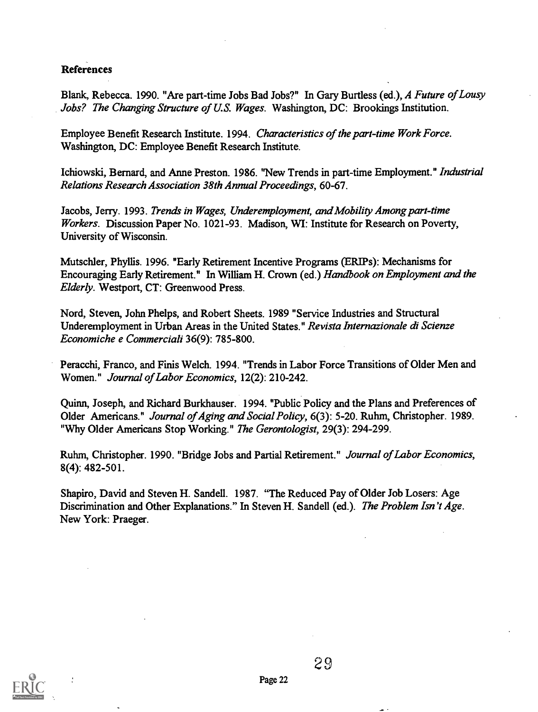# References

Blank, Rebecca. 1990. "Are part-time Jobs Bad Jobs?" In Gary Burtless (ed.), A Future of Lousy Jobs? The Changing Structure of U.S. Wages. Washington, DC: Brookings Institution.

Employee Benefit Research Institute. 1994. Characteristics of the part-time Work Force. Washington, DC: Employee Benefit Research Institute.

Ichiowski, Bernard, and Anne Preston. 1986. "New Trends in part-time Employment." Industrial Relations Research Association 38th Annual Proceedings, 60-67.

Jacobs, Jerry. 1993. Trends in Wages, Underemployment, and Mobility Among part-time Workers. Discussion Paper No. 1021-93. Madison, WI: Institute for Research on Poverty, University of Wisconsin.

Mutschler, Phyllis. 1996. "Early Retirement Incentive Programs (ERIPs): Mechanisms for Encouraging Early Retirement." In William H. Crown (ed.) Handbook on Employment and the Elderly. Westport, CT: Greenwood Press.

Nord, Steven, John Phelps, and Robert Sheets. 1989 "Service Industries and Structural Underemployment in Urban Areas in the United States." Revista Internazionale di Scienze Economiche e Commerciali 36(9): 785-800.

Peracchi, Franco, and Finis Welch. 1994. "Trends in Labor Force Transitions of Older Men and Women." Journal of Labor Economics, 12(2): 210-242.

Quinn, Joseph, and Richard Burkhauser. 1994. "Public Policy and the Plans and Preferences of Older Americans." Journal of Aging and Social Policy, 6(3): 5-20. Ruhm, Christopher. 1989. "Why Older Americans Stop Working." The Gerontologist, 29(3): 294-299.

Ruhm, Christopher. 1990. "Bridge Jobs and Partial Retirement." Journal of Labor Economics, 8(4): 482-501.

Shapiro, David and Steven H. Sandell. 1987. "The Reduced Pay of Older Job Losers: Age Discrimination and Other Explanations." In Steven H. Sandell (ed.). The Problem Isn't Age. New York: Praeger.

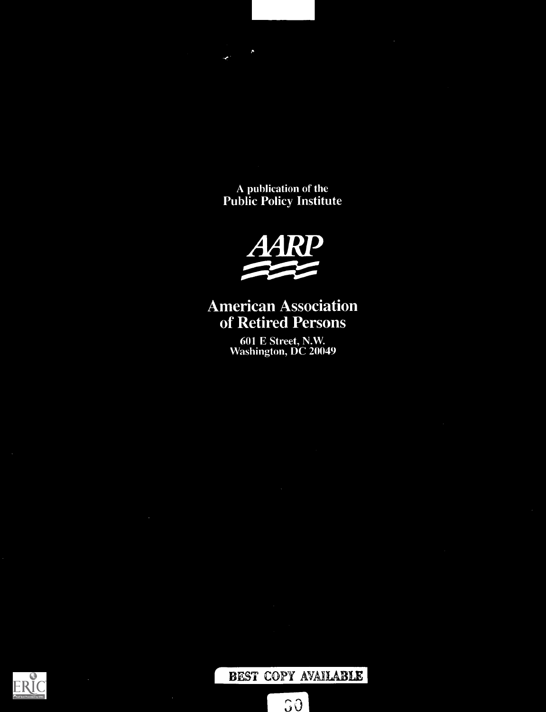A publication of the Public Policy Institute



# American Association of Retired Persons

601 E Street, N.W. Washington, DC 20049